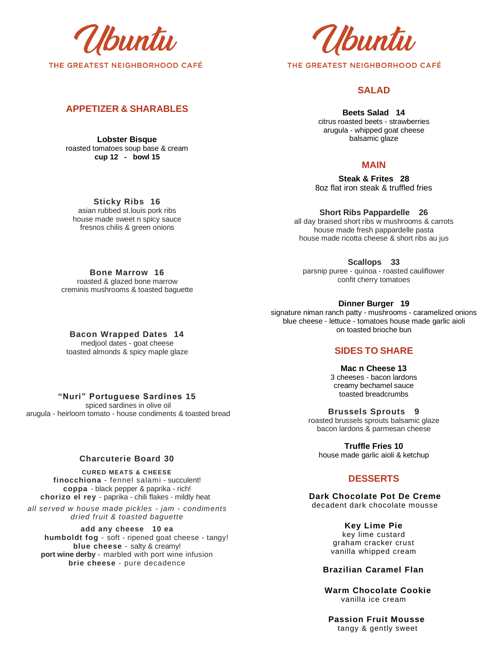

# **APPETIZER & SHARABLES**

**Lobster Bisque**  roasted tomatoes soup base & cream **cup 12 - bowl 15**

buntu THE GREATEST NEIGHBORHOOD CAFÉ

# **SALAD**

**Beets Salad 14**  citrus roasted beets - strawberries arugula - whipped goat cheese balsamic glaze

## **MAIN**

**Steak & Frites 28** 8oz flat iron steak & truffled fries

**Short Ribs Pappardelle 26** all day braised short ribs w mushrooms & carrots house made fresh pappardelle pasta house made ricotta cheese & short ribs au jus

**Scallops 33**  parsnip puree - quinoa - roasted cauliflower confit cherry tomatoes

**Dinner Burger 19** signature niman ranch patty - mushrooms - caramelized onions blue cheese - lettuce - tomatoes house made garlic aioli on toasted brioche bun

## **SIDES TO SHARE**

**Mac n Cheese 13** 3 cheeses - bacon lardons creamy bechamel sauce toasted breadcrumbs

**Brussels Sprouts 9** roasted brussels sprouts balsamic glaze bacon lardons & parmesan cheese

**Truffle Fries 10** house made garlic aioli & ketchup

# **DESSERTS**

**Dark Chocolate Pot De Creme** decadent dark chocolate mousse

> **Key Lime Pie**  key lime custard graham cracker crust vanilla whipped cream

#### **Brazilian Caramel Flan**

 **Warm Chocolate Cookie**  vanilla ice cream

 **Passion Fruit Mousse** tangy & gently sweet

**Sticky Ribs 16** asian rubbed st.louis pork ribs house made sweet n spicy sauce fresnos chilis & green onions

**Bone Marrow 16** roasted & glazed bone marrow creminis mushrooms & toasted baguette

**Bacon Wrapped Dates 14** medjool dates - goat cheese toasted almonds & spicy maple glaze

**"Nuri" Portuguese Sardines 15**

spiced sardines in olive oil arugula - heirloom tomato - house condiments & toasted bread

### **Charcuterie Board 30**

**CURED MEATS & CHEESE finocchiona** - fennel salami - succulent! **coppa** - black pepper & paprika - rich! **chorizo el rey** - paprika - chili flakes - mildly heat

*all served w house made pickles - jam - condiments dried fruit & toasted baguette*

**add any cheese 10 ea humboldt fog** - soft - ripened goat cheese - tangy! **blue cheese** - salty & creamy! **port wine derby** - marbled with port wine infusion **brie cheese** - pure decadence